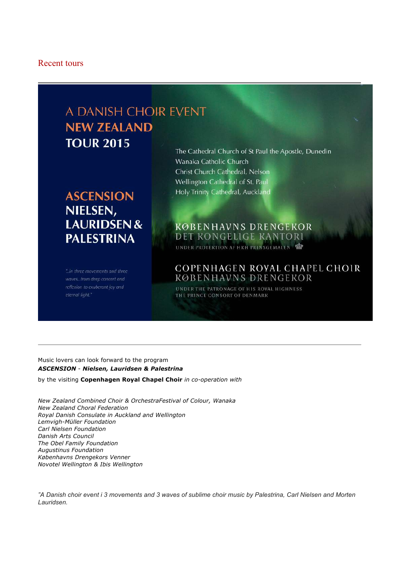#### Recent tours

# A DANISH CHOIR EVENT **NEW ZEALAND TOUR 2015**

## **ASCENSION** NIELSEN, **LAURIDSEN& PALESTRINA**

"..in three movements and three waves...from deep concert and reflexion to exuberant joy and eternal light."

The Cathedral Church of St Paul the Apostle, Dunedin Wanaka Catholic Church Christ Church Cathedral, Nelson Wellington Cathedral of St. Paul Holy Trinity Cathedral, Auckland

## **KØBENHAVNS DRENGEKOR** DET KONGELIGE KANTORI UNDER PROTEKTION AF HKH PRINSGEMALEN

## COPENHAGEN ROYAL CHAPEL CHOIR **KØBENHAVNS DRENGEKOR**

UNDER THE PATRONAGE OF HIS ROYAL HIGHNESS THE PRINCE CONSORT OF DENMARK

#### Music lovers can look forward to the program *ASCENSION* - *Nielsen, Lauridsen & Palestrina*

by the visiting **Copenhagen Royal Chapel Choir** *in co-operation with*

*New Zealand Combined Choir & OrchestraFestival of Colour, Wanaka New Zealand Choral Federation Royal Danish Consulate in Auckland and Wellington Lemvigh-Müller Foundation Carl Nielsen Foundation Danish Arts Council The Obel Family Foundation Augustinus Foundation Københavns Drengekors Venner Novotel Wellington & Ibis Wellington*

*"A Danish choir event i 3 movements and 3 waves of sublime choir music by Palestrina, Carl Nielsen and Morten Lauridsen.*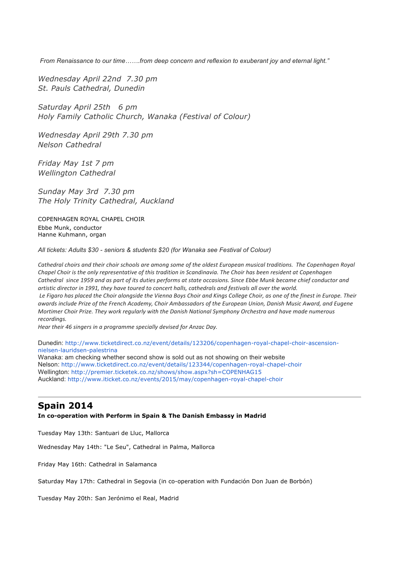*From Renaissance to our time…….from deep concern and reflexion to exuberant joy and eternal light."*

*Wednesday April 22nd 7.30 pm St. Pauls Cathedral, Dunedin*

*Saturday April 25th 6 pm Holy Family Catholic Church, Wanaka (Festival of Colour)*

*Wednesday April 29th 7.30 pm Nelson Cathedral*

*Friday May 1st 7 pm Wellington Cathedral*

*Sunday May 3rd 7.30 pm The Holy Trinity Cathedral, Auckland*

COPENHAGEN ROYAL CHAPEL CHOIR Ebbe Munk, conductor Hanne Kuhmann, organ

*All tickets: Adults \$30 - seniors & students \$20 (for Wanaka see Festival of Colour)*

Cathedral choirs and their choir schools are among some of the oldest European musical traditions. The Copenhagen Royal *Chapel Choir is the only representative of this tradition in Scandinavia. The Choir has been resident at Copenhagen Cathedral* since 1959 and as part of its duties performs at state occasions. Since Ebbe Munk became chief conductor and artistic director in 1991, they have toured to concert halls, cathedrals and festivals all over the world. Le Figaro has placed the Choir alongside the Vienna Boys Choir and Kings College Choir, as one of the finest in Europe. Their *awards include Prize of the French Academy, Choir Ambassadors of the European Union, Danish Music Award, and Eugene Mortimer Choir Prize. They work regularly with the Danish National Symphony Orchestra and have made numerous recordings.*

Hear their 46 singers in a programme specially devised for Anzac Day.

Dunedin: http://www.ticketdirect.co.nz/event/details/123206/copenhagen-royal-chapel-choir-ascensionnielsen-lauridsen-palestrina

Wanaka: am checking whether second show is sold out as not showing on their website Nelson: http://www.ticketdirect.co.nz/event/details/123344/copenhagen-royal-chapel-choir Wellington: http://premier.ticketek.co.nz/shows/show.aspx?sh=COPENHAG15 Auckland: http://www.iticket.co.nz/events/2015/may/copenhagen-royal-chapel-choir

## **Spain 2014**

**In co-operation with Perform in Spain & The Danish Embassy in Madrid**

Tuesday May 13th: Santuari de Lluc, Mallorca

Wednesday May 14th: "Le Seu", Cathedral in Palma, Mallorca

Friday May 16th: Cathedral in Salamanca

Saturday May 17th: Cathedral in Segovia (in co-operation with Fundación Don Juan de Borbón)

Tuesday May 20th: San Jerónimo el Real, Madrid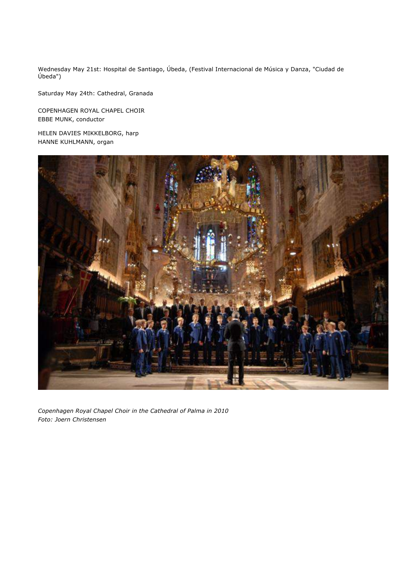Wednesday May 21st: Hospital de Santiago, Úbeda, (Festival Internacional de Música y Danza, "Ciudad de Úbeda")

Saturday May 24th: Cathedral, Granada

COPENHAGEN ROYAL CHAPEL CHOIR EBBE MUNK, conductor

HELEN DAVIES MIKKELBORG, harp HANNE KUHLMANN, organ



*Copenhagen Royal Chapel Choir in the Cathedral of Palma in 2010 Foto: Joern Christensen*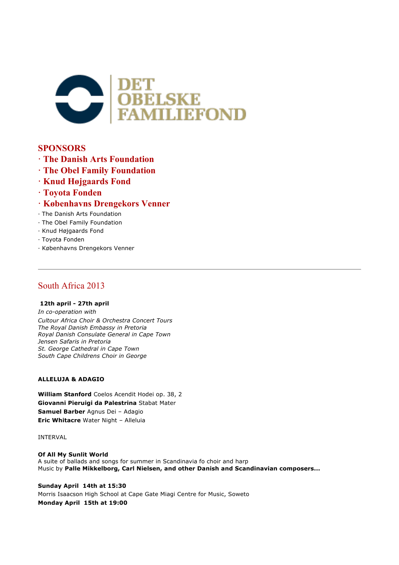

## **SPONSORS**

- **· The Danish Arts Foundation**
- **· The Obel Family Foundation**
- **· Knud Højgaards Fond**
- **· Toyota Fonden**
- **· Københavns Drengekors Venner**
- · The Danish Arts Foundation
- · The Obel Family Foundation
- · Knud Højgaards Fond
- · Toyota Fonden
- · Københavns Drengekors Venner

## South Africa 2013

#### **12th april - 27th april**

*In co-operation with Cultour Africa Choir & Orchestra Concert Tours The Royal Danish Embassy in Pretoria Royal Danish Consulate General in Cape Town Jensen Safaris in Pretoria St. George Cathedral in Cape Town South Cape Childrens Choir in George*

#### **ALLELUJA & ADAGIO**

**William Stanford** Coelos Acendit Hodei op. 38, 2 **Giovanni Pieruigi da Palestrina** Stabat Mater **Samuel Barber** Agnus Dei – Adagio **Eric Whitacre** Water Night – Alleluia

INTERVAL

**Of All My Sunlit World** A suite of ballads and songs for summer in Scandinavia fo choir and harp Music by **Palle Mikkelborg, Carl Nielsen, and other Danish and Scandinavian composers...**

**Sunday April 14th at 15:30** Morris Isaacson High School at Cape Gate Miagi Centre for Music, Soweto **Monday April 15th at 19:00**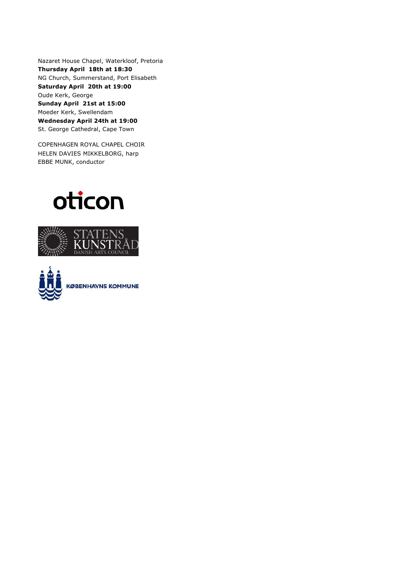Nazaret House Chapel, Waterkloof, Pretoria **Thursday April 18th at 18:30** NG Church, Summerstand, Port Elisabeth **Saturday April 20th at 19:00** Oude Kerk, George **Sunday April 21st at 15:00** Moeder Kerk, Swellendam **Wednesday April 24th at 19:00** St. George Cathedral, Cape Town

COPENHAGEN ROYAL CHAPEL CHOIR HELEN DAVIES MIKKELBORG, harp EBBE MUNK, conductor





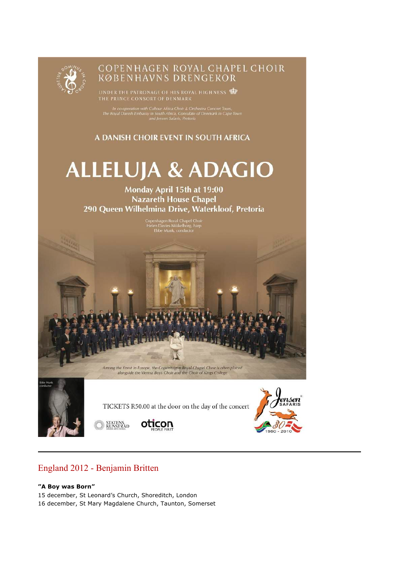

# COPENHAGEN ROYAL CHAPEL CHOIR<br>KØBENHAVNS DRENGEKOR

UNDER THE PATRONAGE OF HIS ROYAL HIGHNESS

In co-operation with Cultour Africa Choir & Orchestra Concert Tours,<br>The Royal Danish Embassy in South Africa, Consulate of Denmark in Cape Town<br>and Jensen Safaris, Pretoria

A DANISH CHOIR EVENT IN SOUTH AFRICA

# **ALLELUJA & ADAGIO**

Monday April 15th at 19:00 **Nazareth House Chapel** 290 Queen Wilhelmina Drive, Waterkloof, Pretoria

Copenhagen Royal Chapel Choir<br>Helen Davies Mikkelborg, harp<br>Ebbe Munk, conductor

Among the finest in Europe, the Copenhagen Royal Chapel Choir is often placed<br>alongside the Vienna Boys Choir and the Choir of Kings College

TICKETS R50.00 at the door on the day of the concert





## STATENS<br>KUNSTRÅD



#### **"A Boy was Born"**

15 december, St Leonard's Church, Shoreditch, London

16 december, St Mary Magdalene Church, Taunton, Somerset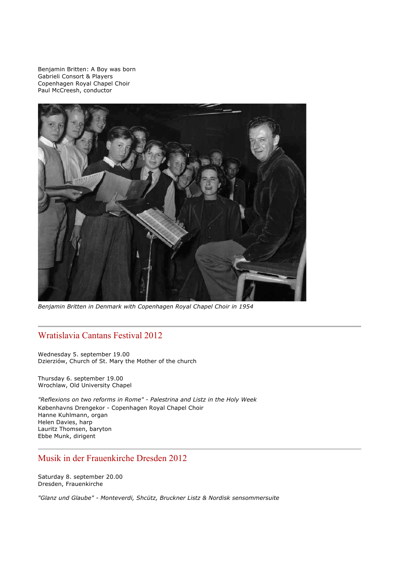Benjamin Britten: A Boy was born Gabrieli Consort & Players Copenhagen Royal Chapel Choir Paul McCreesh, conductor



*Benjamin Britten in Denmark with Copenhagen Royal Chapel Choir in 1954*

## Wratislavia Cantans Festival 2012

Wednesday 5. september 19.00 Dzierziów, Church of St. Mary the Mother of the church

Thursday 6. september 19.00 Wrochlaw, Old University Chapel

*"Reflexions on two reforms in Rome" - Palestrina and Listz in the Holy Week* Københavns Drengekor - Copenhagen Royal Chapel Choir Hanne Kuhlmann, organ Helen Davies, harp Lauritz Thomsen, baryton Ebbe Munk, dirigent

### Musik in der Frauenkirche Dresden 2012

Saturday 8. september 20.00 Dresden, Frauenkirche

*"Glanz und Glaube" - Monteverdi, Shcütz, Bruckner Listz & Nordisk sensommersuite*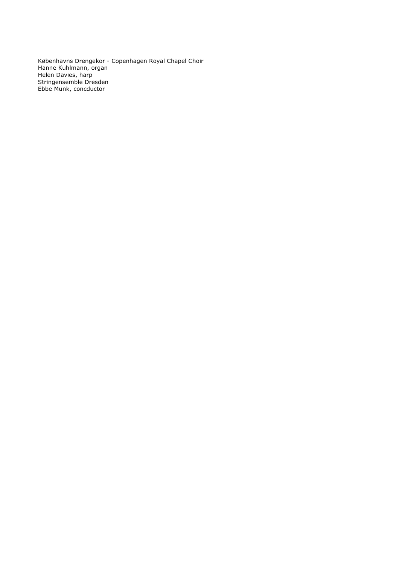Københavns Drengekor - Copenhagen Royal Chapel Choir Hanne Kuhlmann, organ Helen Davies, harp Stringensemble Dresden Ebbe Munk, concductor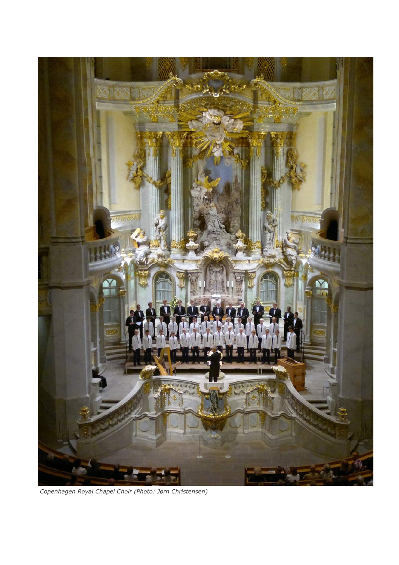

*Copenhagen Royal Chapel Choir (Photo: Jørn Christensen)*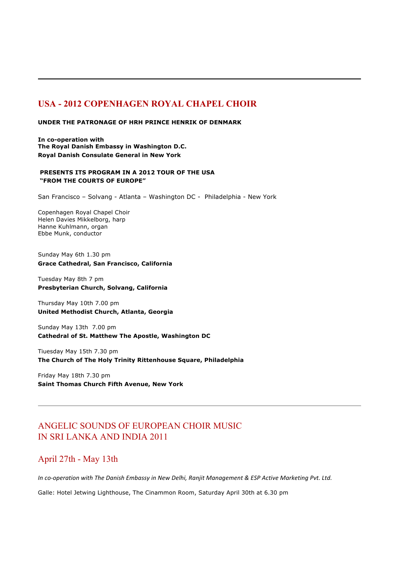## **USA - 2012 COPENHAGEN ROYAL CHAPEL CHOIR**

#### **UNDER THE PATRONAGE OF HRH PRINCE HENRIK OF DENMARK**

**In co-operation with The Royal Danish Embassy in Washington D.C. Royal Danish Consulate General in New York**

#### **PRESENTS ITS PROGRAM IN A 2012 TOUR OF THE USA "FROM THE COURTS OF EUROPE"**

San Francisco – Solvang - Atlanta – Washington DC - Philadelphia - New York

Copenhagen Royal Chapel Choir Helen Davies Mikkelborg, harp Hanne Kuhlmann, organ Ebbe Munk, conductor

Sunday May 6th 1.30 pm **Grace Cathedral, San Francisco, California**

Tuesday May 8th 7 pm **Presbyterian Church, Solvang, California**

Thursday May 10th 7.00 pm **United Methodist Church, Atlanta, Georgia**

Sunday May 13th 7.00 pm **Cathedral of St. Matthew The Apostle, Washington DC**

Tiuesday May 15th 7.30 pm **The Church of The Holy Trinity Rittenhouse Square, Philadelphia**

Friday May 18th 7.30 pm **Saint Thomas Church Fifth Avenue, New York**

## ANGELIC SOUNDS OF EUROPEAN CHOIR MUSIC IN SRI LANKA AND INDIA 2011

## April 27th - May 13th

In co-operation with The Danish Embassy in New Delhi, Ranjit Management & ESP Active Marketing Pvt. Ltd.

Galle: Hotel Jetwing Lighthouse, The Cinammon Room, Saturday April 30th at 6.30 pm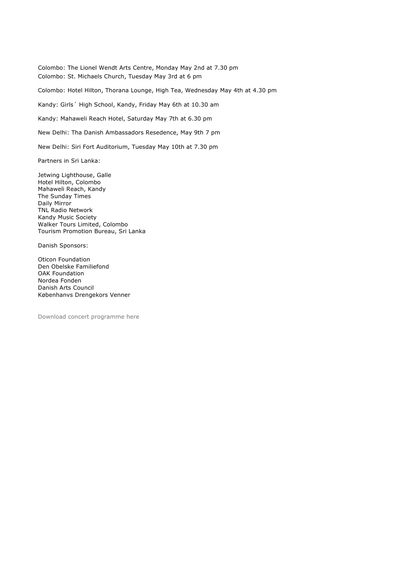Colombo: The Lionel Wendt Arts Centre, Monday May 2nd at 7.30 pm Colombo: St. Michaels Church, Tuesday May 3rd at 6 pm

Colombo: Hotel Hilton, Thorana Lounge, High Tea, Wednesday May 4th at 4.30 pm

Kandy: Girls´ High School, Kandy, Friday May 6th at 10.30 am

Kandy: Mahaweli Reach Hotel, Saturday May 7th at 6.30 pm

New Delhi: Tha Danish Ambassadors Resedence, May 9th 7 pm

New Delhi: Siri Fort Auditorium, Tuesday May 10th at 7.30 pm

Partners in Sri Lanka:

Jetwing Lighthouse, Galle Hotel Hilton, Colombo Mahaweli Reach, Kandy The Sunday Times Daily Mirror TNL Radio Network Kandy Music Society Walker Tours Limited, Colombo Tourism Promotion Bureau, Sri Lanka

Danish Sponsors:

Oticon Foundation Den Obelske Familiefond OAK Foundation Nordea Fonden Danish Arts Council Københanvs Drengekors Venner

Download concert programme here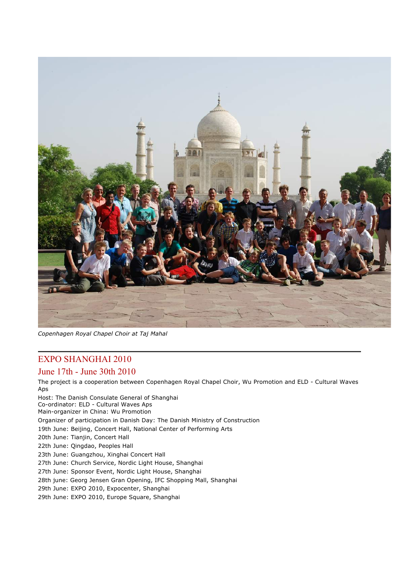

*Copenhagen Royal Chapel Choir at Taj Mahal*

## EXPO SHANGHAI 2010

### June 17th - June 30th 2010

The project is a cooperation between Copenhagen Royal Chapel Choir, Wu Promotion and ELD - Cultural Waves Aps Host: The Danish Consulate General of Shanghai Co-ordinator: ELD - Cultural Waves Aps Main-organizer in China: Wu Promotion Organizer of participation in Danish Day: The Danish Ministry of Construction 19th June: Beijing, Concert Hall, National Center of Performing Arts 20th June: Tianjin, Concert Hall 22th June: Qingdao, Peoples Hall 23th June: Guangzhou, Xinghai Concert Hall

27th June: Church Service, Nordic Light House, Shanghai

27th June: Sponsor Event, Nordic Light House, Shanghai

- 28th june: Georg Jensen Gran Opening, IFC Shopping Mall, Shanghai
- 29th June: EXPO 2010, Expocenter, Shanghai

29th June: EXPO 2010, Europe Square, Shanghai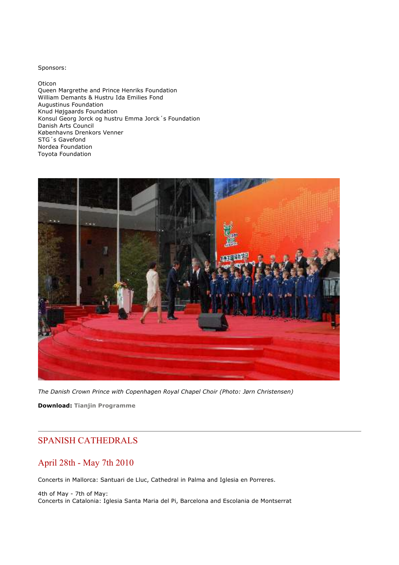Sponsors:

Oticon Queen Margrethe and Prince Henriks Foundation William Demants & Hustru Ida Emilies Fond Augustinus Foundation Knud Højgaards Foundation Konsul Georg Jorck og hustru Emma Jorck´s Foundation Danish Arts Council Københavns Drenkors Venner STG´s Gavefond Nordea Foundation Toyota Foundation



*The Danish Crown Prince with Copenhagen Royal Chapel Choir (Photo: Jørn Christensen)*

**Download: Tianjin Programme**

## SPANISH CATHEDRALS

## April 28th - May 7th 2010

Concerts in Mallorca: Santuari de Lluc, Cathedral in Palma and Iglesia en Porreres.

4th of May - 7th of May: Concerts in Catalonia: Iglesia Santa Maria del Pi, Barcelona and Escolania de Montserrat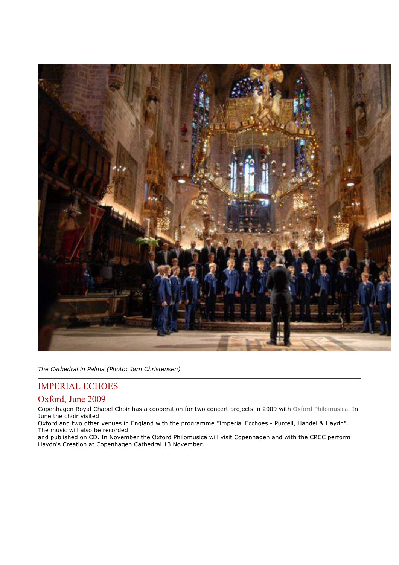

*The Cathedral in Palma (Photo: Jørn Christensen)*

## IMPERIAL ECHOES

#### Oxford, June 2009

Copenhagen Royal Chapel Choir has a cooperation for two concert projects in 2009 with Oxford Philomusica. In June the choir visited

Oxford and two other venues in England with the programme "Imperial Ecchoes - Purcell, Handel & Haydn". The music will also be recorded

and published on CD. In November the Oxford Philomusica will visit Copenhagen and with the CRCC perform Haydn's Creation at Copenhagen Cathedral 13 November.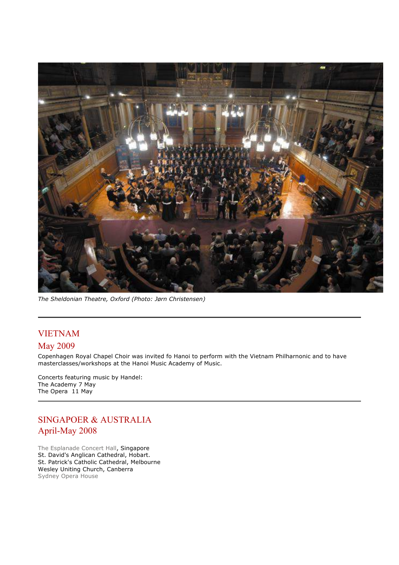

*The Sheldonian Theatre, Oxford (Photo: Jørn Christensen)*

## VIETNAM

## May 2009

Copenhagen Royal Chapel Choir was invited fo Hanoi to perform with the Vietnam Philharnonic and to have masterclasses/workshops at the Hanoi Music Academy of Music.

Concerts featuring music by Handel: The Academy 7 May The Opera 11 May

## SINGAPOER & AUSTRALIA April-May 2008

The Esplanade Concert Hall, Singapore St. David's Anglican Cathedral, Hobart. St. Patrick's Catholic Cathedral, Melbourne Wesley Uniting Church, Canberra Sydney Opera House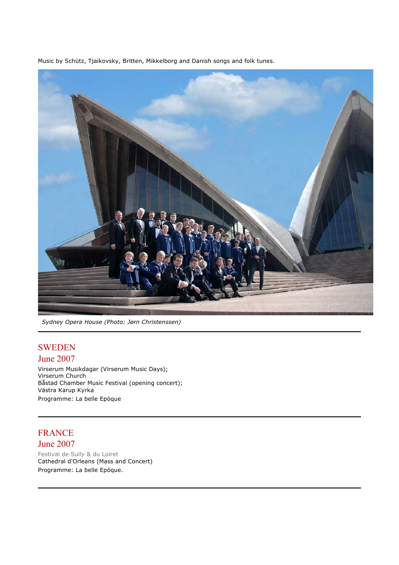Music by Schütz, Tjaikovsky, Britten, Mikkelborg and Danish songs and folk tunes.



*Sydney Opera House (Photo: Jørn Christenssen)*

## SWEDEN June 2007

Virserum Musikdagar (Virserum Music Days); Virserum Church Båstad Chamber Music Festival (opening concert); Västra Karup Kyrka Programme: La belle Epóque

## FRANCE

## June 2007

Festival de Sully & du Loiret Cathedral d'Orleans (Mass and Concert) Programme: La belle Epóque.